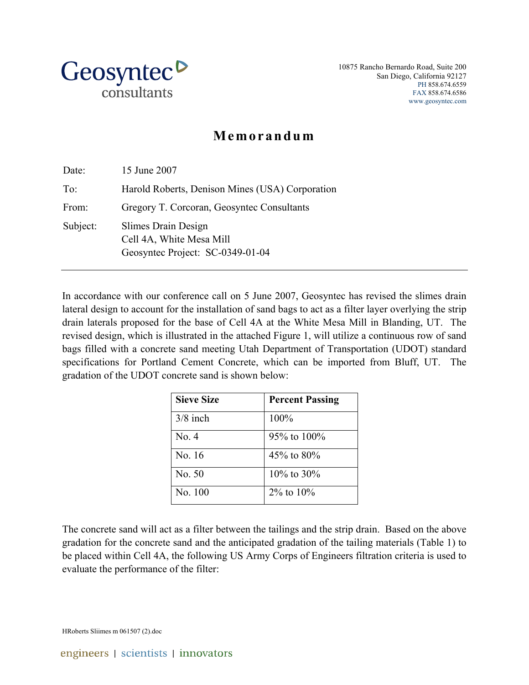

10875 Rancho Bernardo Road, Suite 200 San Diego, California 92127 PH 858.674.6559 FAX 858.674.6586 www.geosyntec.com

## **Memorandum**

| Date:    | 15 June 2007                                                                        |
|----------|-------------------------------------------------------------------------------------|
| To:      | Harold Roberts, Denison Mines (USA) Corporation                                     |
| From:    | Gregory T. Corcoran, Geosyntec Consultants                                          |
| Subject: | Slimes Drain Design<br>Cell 4A, White Mesa Mill<br>Geosyntec Project: SC-0349-01-04 |

In accordance with our conference call on 5 June 2007, Geosyntec has revised the slimes drain lateral design to account for the installation of sand bags to act as a filter layer overlying the strip drain laterals proposed for the base of Cell 4A at the White Mesa Mill in Blanding, UT. The revised design, which is illustrated in the attached Figure 1, will utilize a continuous row of sand bags filled with a concrete sand meeting Utah Department of Transportation (UDOT) standard specifications for Portland Cement Concrete, which can be imported from Bluff, UT. The gradation of the UDOT concrete sand is shown below:

| <b>Sieve Size</b> | <b>Percent Passing</b> |
|-------------------|------------------------|
| $3/8$ inch        | 100%                   |
| No. 4             | 95% to 100%            |
| No. 16            | 45\% to 80\%           |
| No 50             | $10\%$ to 30%          |
| No. 100           | $2\%$ to $10\%$        |

The concrete sand will act as a filter between the tailings and the strip drain. Based on the above gradation for the concrete sand and the anticipated gradation of the tailing materials (Table 1) to be placed within Cell 4A, the following US Army Corps of Engineers filtration criteria is used to evaluate the performance of the filter:

HRoberts Sliimes m 061507 (2).doc